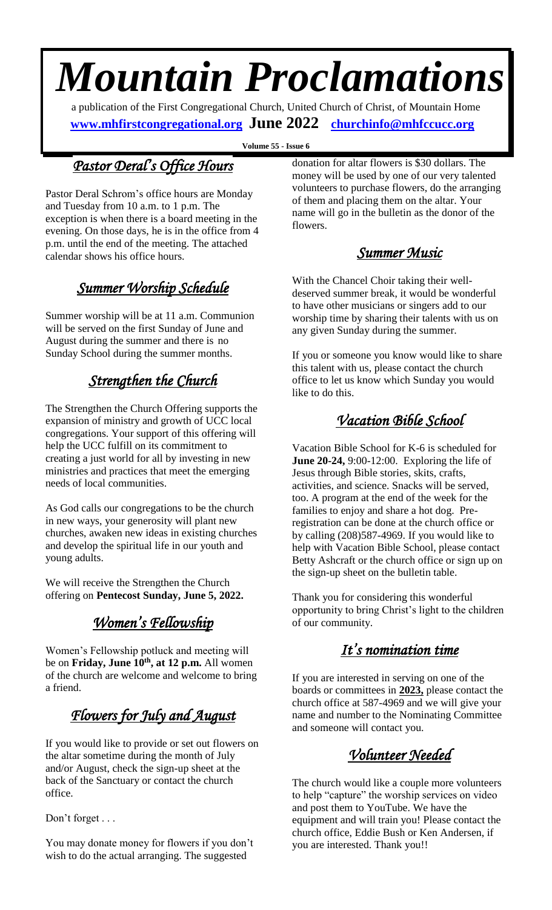# *Mountain Proclamations*

a publication of the First Congregational Church, United Church of Christ, of Mountain Home  **[www.mhfirstcongregational.org](http://www.mhfirstcongregational.org/) June 2022 [churchinfo@mhfccucc.org](mailto:churchinfo@mhfccucc.org)**

**Volume 55 - Issue 6**

### *Pastor Deral's Office Hours*

Pastor Deral Schrom's office hours are Monday and Tuesday from 10 a.m. to 1 p.m. The exception is when there is a board meeting in the evening. On those days, he is in the office from 4 p.m. until the end of the meeting. The attached calendar shows his office hours.

### *Summer Worship Schedule*

Summer worship will be at 11 a.m. Communion will be served on the first Sunday of June and August during the summer and there is no Sunday School during the summer months.

### *Strengthen the Church*

The Strengthen the Church Offering supports the expansion of ministry and growth of UCC local congregations. Your support of this offering will help the UCC fulfill on its commitment to creating a just world for all by investing in new ministries and practices that meet the emerging needs of local communities.

As God calls our congregations to be the church in new ways, your generosity will plant new churches, awaken new ideas in existing churches and develop the spiritual life in our youth and young adults.

We will receive the Strengthen the Church offering on **Pentecost Sunday, June 5, 2022.**

### *Women's Fellowship*

Women's Fellowship potluck and meeting will be on **Friday, June 10th, at 12 p.m.** All women of the church are welcome and welcome to bring a friend.

### *Flowers for July and August*

If you would like to provide or set out flowers on the altar sometime during the month of July and/or August, check the sign-up sheet at the back of the Sanctuary or contact the church office.

Don't forget . . .

You may donate money for flowers if you don't wish to do the actual arranging. The suggested

donation for altar flowers is \$30 dollars. The money will be used by one of our very talented volunteers to purchase flowers, do the arranging of them and placing them on the altar. Your name will go in the bulletin as the donor of the flowers.

*Summer Music* 

With the Chancel Choir taking their welldeserved summer break, it would be wonderful to have other musicians or singers add to our worship time by sharing their talents with us on any given Sunday during the summer.

If you or someone you know would like to share this talent with us, please contact the church office to let us know which Sunday you would like to do this.

### *Vacation Bible School*

Vacation Bible School for K-6 is scheduled for **June 20-24,** 9:00-12:00. Exploring the life of Jesus through Bible stories, skits, crafts, activities, and science. Snacks will be served, too. A program at the end of the week for the families to enjoy and share a hot dog. Preregistration can be done at the church office or by calling (208)587-4969. If you would like to help with Vacation Bible School, please contact Betty Ashcraft or the church office or sign up on the sign-up sheet on the bulletin table.

Thank you for considering this wonderful opportunity to bring Christ's light to the children of our community.

### *It's nomination time*

If you are interested in serving on one of the boards or committees in **2023,** please contact the church office at 587-4969 and we will give your name and number to the Nominating Committee and someone will contact you.

### *Volunteer Needed*

The church would like a couple more volunteers to help "capture" the worship services on video and post them to YouTube. We have the equipment and will train you! Please contact the church office, Eddie Bush or Ken Andersen, if you are interested. Thank you!!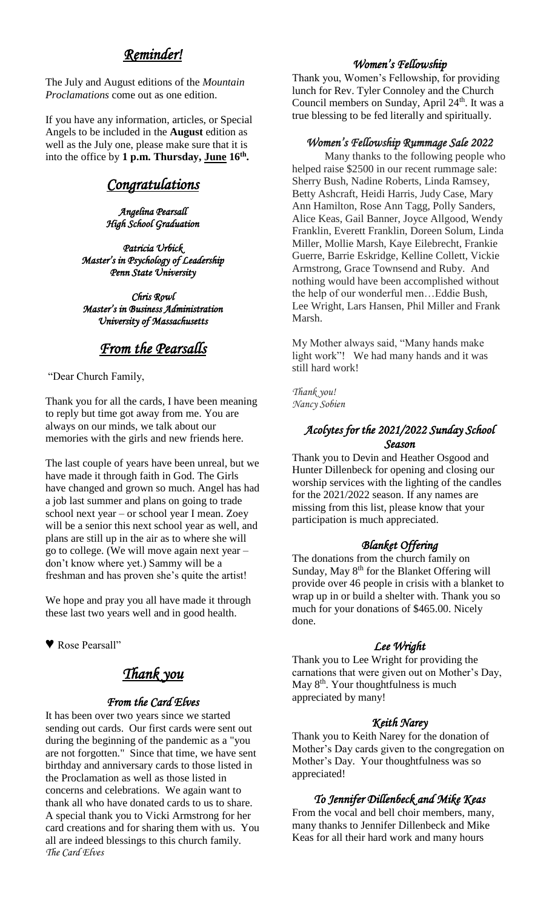### *Reminder!*

The July and August editions of the *Mountain Proclamations* come out as one edition.

If you have any information, articles, or Special Angels to be included in the **August** edition as well as the July one, please make sure that it is into the office by 1 p.m. Thursday, June 16<sup>th</sup>.

### *Congratulations*

*Angelina Pearsall High School Graduation* 

*Patricia Urbick Master's in Psychology of Leadership Penn State University* 

*Chris Rowl Master's in Business Administration University of Massachusetts* 

#### *From the Pearsalls*

"Dear Church Family,

Thank you for all the cards, I have been meaning to reply but time got away from me. You are always on our minds, we talk about our memories with the girls and new friends here.

The last couple of years have been unreal, but we have made it through faith in God. The Girls have changed and grown so much. Angel has had a job last summer and plans on going to trade school next year – or school year I mean. Zoey will be a senior this next school year as well, and plans are still up in the air as to where she will go to college. (We will move again next year – don't know where yet.) Sammy will be a freshman and has proven she's quite the artist!

We hope and pray you all have made it through these last two years well and in good health.

♥ Rose Pearsall"

#### *Thank you*

#### *From the Card Elves*

It has been over two years since we started sending out cards. Our first cards were sent out during the beginning of the pandemic as a "you are not forgotten." Since that time, we have sent birthday and anniversary cards to those listed in the Proclamation as well as those listed in concerns and celebrations. We again want to thank all who have donated cards to us to share. A special thank you to Vicki Armstrong for her card creations and for sharing them with us. You all are indeed blessings to this church family. *The Card Elves*

#### *Women's Fellowship*

Thank you, Women's Fellowship, for providing lunch for Rev. Tyler Connoley and the Church Council members on Sunday, April 24<sup>th</sup>. It was a true blessing to be fed literally and spiritually.

#### *Women's Fellowship Rummage Sale 2022*

Many thanks to the following people who helped raise \$2500 in our recent rummage sale: Sherry Bush, Nadine Roberts, Linda Ramsey, Betty Ashcraft, Heidi Harris, Judy Case, Mary Ann Hamilton, Rose Ann Tagg, Polly Sanders, Alice Keas, Gail Banner, Joyce Allgood, Wendy Franklin, Everett Franklin, Doreen Solum, Linda Miller, Mollie Marsh, Kaye Eilebrecht, Frankie Guerre, Barrie Eskridge, Kelline Collett, Vickie Armstrong, Grace Townsend and Ruby. And nothing would have been accomplished without the help of our wonderful men…Eddie Bush, Lee Wright, Lars Hansen, Phil Miller and Frank Marsh.

My Mother always said, "Many hands make light work"! We had many hands and it was still hard work!

*Thank you! Nancy Sobien*

#### *Acolytes for the 2021/2022 Sunday School Season*

Thank you to Devin and Heather Osgood and Hunter Dillenbeck for opening and closing our worship services with the lighting of the candles for the 2021/2022 season. If any names are missing from this list, please know that your participation is much appreciated.

#### *Blanket Offering*

The donations from the church family on Sunday, May 8<sup>th</sup> for the Blanket Offering will provide over 46 people in crisis with a blanket to wrap up in or build a shelter with. Thank you so much for your donations of \$465.00. Nicely done.

#### *Lee Wright*

Thank you to Lee Wright for providing the carnations that were given out on Mother's Day, May 8<sup>th</sup>. Your thoughtfulness is much appreciated by many!

#### *Keith Narey*

Thank you to Keith Narey for the donation of Mother's Day cards given to the congregation on Mother's Day. Your thoughtfulness was so appreciated!

#### *To Jennifer Dillenbeck and Mike Keas*

From the vocal and bell choir members, many, many thanks to Jennifer Dillenbeck and Mike Keas for all their hard work and many hours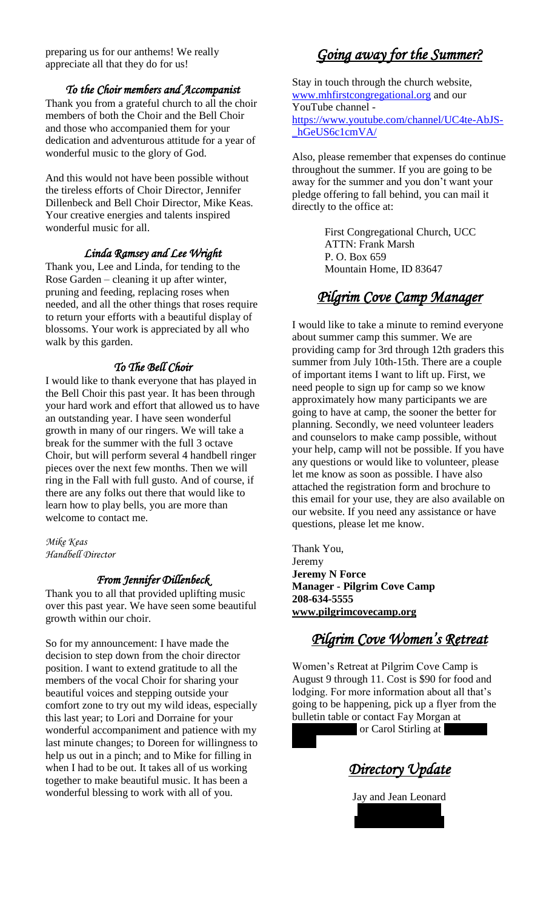preparing us for our anthems! We really appreciate all that they do for us!

#### *To the Choir members and Accompanist*

Thank you from a grateful church to all the choir members of both the Choir and the Bell Choir and those who accompanied them for your dedication and adventurous attitude for a year of wonderful music to the glory of God.

And this would not have been possible without the tireless efforts of Choir Director, Jennifer Dillenbeck and Bell Choir Director, Mike Keas. Your creative energies and talents inspired wonderful music for all.

#### *Linda Ramsey and Lee Wright*

Thank you, Lee and Linda, for tending to the Rose Garden – cleaning it up after winter, pruning and feeding, replacing roses when needed, and all the other things that roses require to return your efforts with a beautiful display of blossoms. Your work is appreciated by all who walk by this garden.

#### *To The Bell Choir*

I would like to thank everyone that has played in the Bell Choir this past year. It has been through your hard work and effort that allowed us to have an outstanding year. I have seen wonderful growth in many of our ringers. We will take a break for the summer with the full 3 octave Choir, but will perform several 4 handbell ringer pieces over the next few months. Then we will ring in the Fall with full gusto. And of course, if there are any folks out there that would like to learn how to play bells, you are more than welcome to contact me.

*Mike Keas Handbell Director*

#### *From Jennifer Dillenbeck*

Thank you to all that provided uplifting music over this past year. We have seen some beautiful growth within our choir.

So for my announcement: I have made the decision to step down from the choir director position. I want to extend gratitude to all the members of the vocal Choir for sharing your beautiful voices and stepping outside your comfort zone to try out my wild ideas, especially this last year; to Lori and Dorraine for your wonderful accompaniment and patience with my last minute changes; to Doreen for willingness to help us out in a pinch; and to Mike for filling in when I had to be out. It takes all of us working together to make beautiful music. It has been a wonderful blessing to work with all of you.

### *Going away for the Summer?*

Stay in touch through the church website, [www.mhfirstcongregational.org](http://www.mhfirstcongregational.org/) and our YouTube channel [https://www.youtube.com/channel/UC4te-AbJS-](https://www.youtube.com/channel/UC4te-AbJS-_hGeUS6c1cmVA/) [\\_hGeUS6c1cmVA/](https://www.youtube.com/channel/UC4te-AbJS-_hGeUS6c1cmVA/)

Also, please remember that expenses do continue throughout the summer. If you are going to be away for the summer and you don't want your pledge offering to fall behind, you can mail it directly to the office at:

> First Congregational Church, UCC ATTN: Frank Marsh P. O. Box 659 Mountain Home, ID 83647

### *Pilgrim Cove Camp Manager*

I would like to take a minute to remind everyone about summer camp this summer. We are providing camp for 3rd through 12th graders this summer from July 10th-15th. There are a couple of important items I want to lift up. First, we need people to sign up for camp so we know approximately how many participants we are going to have at camp, the sooner the better for planning. Secondly, we need volunteer leaders and counselors to make camp possible, without your help, camp will not be possible. If you have any questions or would like to volunteer, please let me know as soon as possible. I have also attached the registration form and brochure to this email for your use, they are also available on our website. If you need any assistance or have questions, please let me know.

Thank You, Jeremy **Jeremy N Force Manager - Pilgrim Cove Camp 208-634-5555 [www.pilgrimcovecamp.org](http://www.pilgrimcovecamp.org/)**

### *Pilgrim Cove Women's Retreat*

Women's Retreat at Pilgrim Cove Camp is August 9 through 11. Cost is \$90 for food and lodging. For more information about all that's going to be happening, pick up a flyer from the bulletin table or contact Fay Morgan at

or Carol Stirling at

*Directory Update* 

Jay and Jean Leonard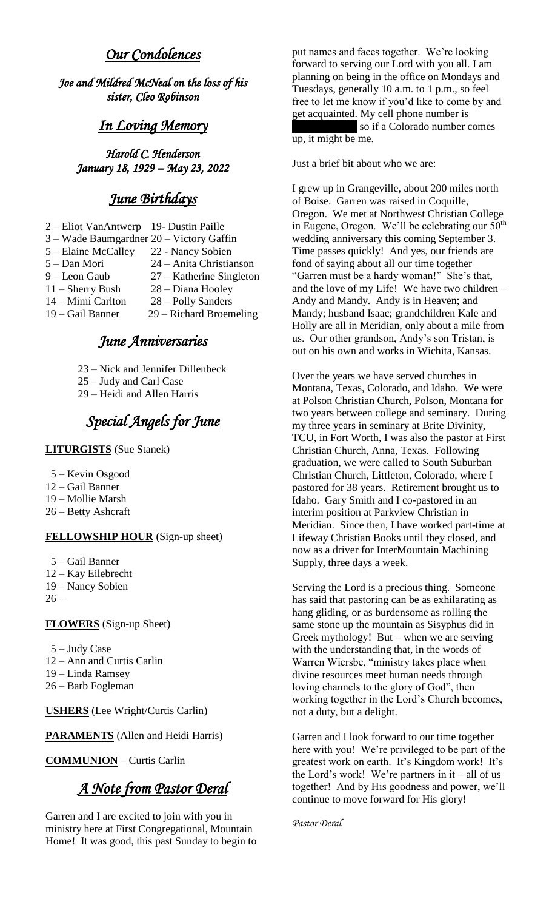### *Our Condolences*

*Joe and Mildred McNeal on the loss of his sister, Cleo Robinson* 

### *In Loving Memory*

*Harold C. Henderson January 18, 1929 – May 23, 2022* 

### *June Birthdays*

| 2 – Eliot VanAntwerp                     | 19- Dustin Paille          |
|------------------------------------------|----------------------------|
| 3 – Wade Baumgardner 20 – Victory Gaffin |                            |
| 5 – Elaine McCalley                      | 22 - Nancy Sobien          |
| 5 – Dan Mori                             | 24 – Anita Christianson    |
| 9 – Leon Gaub                            | $27 -$ Katherine Singleton |
| $11$ – Sherry Bush                       | 28 - Diana Hooley          |
| 14 - Mimi Carlton                        | 28 – Polly Sanders         |
| 19 – Gail Banner                         | $29 - Richard Broemeling$  |
|                                          |                            |

### *June Anniversaries*

- 23 Nick and Jennifer Dillenbeck
- 25 Judy and Carl Case
- 29 Heidi and Allen Harris

### *Special Angels for June*

#### **LITURGISTS** (Sue Stanek)

- 5 Kevin Osgood
- 12 Gail Banner
- 19 Mollie Marsh
- 26 Betty Ashcraft

#### **FELLOWSHIP HOUR** (Sign-up sheet)

- 5 Gail Banner
- 12 Kay Eilebrecht
- 19 Nancy Sobien
- $26 -$

#### **FLOWERS** (Sign-up Sheet)

- 5 Judy Case
- 12 Ann and Curtis Carlin
- 19 Linda Ramsey
- 26 Barb Fogleman

**USHERS** (Lee Wright/Curtis Carlin)

**PARAMENTS** (Allen and Heidi Harris)

#### **COMMUNION** – Curtis Carlin

### *A Note from Pastor Deral*

Garren and I are excited to join with you in ministry here at First Congregational, Mountain Home! It was good, this past Sunday to begin to put names and faces together. We're looking forward to serving our Lord with you all. I am planning on being in the office on Mondays and Tuesdays, generally 10 a.m. to 1 p.m., so feel free to let me know if you'd like to come by and get acquainted. My cell phone number is so if a Colorado number comes up, it might be me.

Just a brief bit about who we are:

I grew up in Grangeville, about 200 miles north of Boise. Garren was raised in Coquille, Oregon. We met at Northwest Christian College in Eugene, Oregon. We'll be celebrating our  $50<sup>th</sup>$ wedding anniversary this coming September 3. Time passes quickly! And yes, our friends are fond of saying about all our time together "Garren must be a hardy woman!" She's that, and the love of my Life! We have two children – Andy and Mandy. Andy is in Heaven; and Mandy; husband Isaac; grandchildren Kale and Holly are all in Meridian, only about a mile from us. Our other grandson, Andy's son Tristan, is out on his own and works in Wichita, Kansas.

Over the years we have served churches in Montana, Texas, Colorado, and Idaho. We were at Polson Christian Church, Polson, Montana for two years between college and seminary. During my three years in seminary at Brite Divinity, TCU, in Fort Worth, I was also the pastor at First Christian Church, Anna, Texas. Following graduation, we were called to South Suburban Christian Church, Littleton, Colorado, where I pastored for 38 years. Retirement brought us to Idaho. Gary Smith and I co-pastored in an interim position at Parkview Christian in Meridian. Since then, I have worked part-time at Lifeway Christian Books until they closed, and now as a driver for InterMountain Machining Supply, three days a week.

Serving the Lord is a precious thing. Someone has said that pastoring can be as exhilarating as hang gliding, or as burdensome as rolling the same stone up the mountain as Sisyphus did in Greek mythology! But – when we are serving with the understanding that, in the words of Warren Wiersbe, "ministry takes place when divine resources meet human needs through loving channels to the glory of God", then working together in the Lord's Church becomes, not a duty, but a delight.

Garren and I look forward to our time together here with you! We're privileged to be part of the greatest work on earth. It's Kingdom work! It's the Lord's work! We're partners in  $it - all$  of us together! And by His goodness and power, we'll continue to move forward for His glory!

*Pastor Deral*